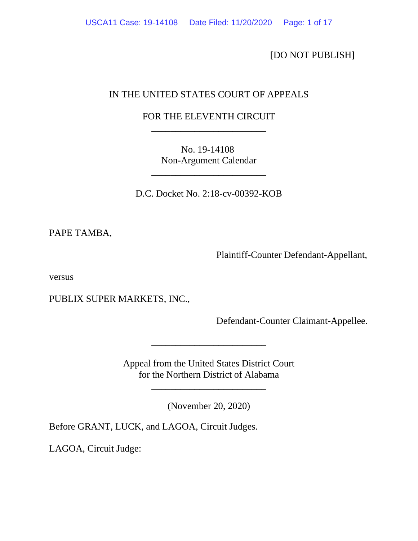[DO NOT PUBLISH]

# IN THE UNITED STATES COURT OF APPEALS

# FOR THE ELEVENTH CIRCUIT \_\_\_\_\_\_\_\_\_\_\_\_\_\_\_\_\_\_\_\_\_\_\_\_

No. 19-14108 Non-Argument Calendar

\_\_\_\_\_\_\_\_\_\_\_\_\_\_\_\_\_\_\_\_\_\_\_\_

D.C. Docket No. 2:18-cv-00392-KOB

PAPE TAMBA,

Plaintiff-Counter Defendant-Appellant,

versus

PUBLIX SUPER MARKETS, INC.,

Defendant-Counter Claimant-Appellee.

Appeal from the United States District Court for the Northern District of Alabama

\_\_\_\_\_\_\_\_\_\_\_\_\_\_\_\_\_\_\_\_\_\_\_\_

(November 20, 2020)

\_\_\_\_\_\_\_\_\_\_\_\_\_\_\_\_\_\_\_\_\_\_\_\_

Before GRANT, LUCK, and LAGOA, Circuit Judges.

LAGOA, Circuit Judge: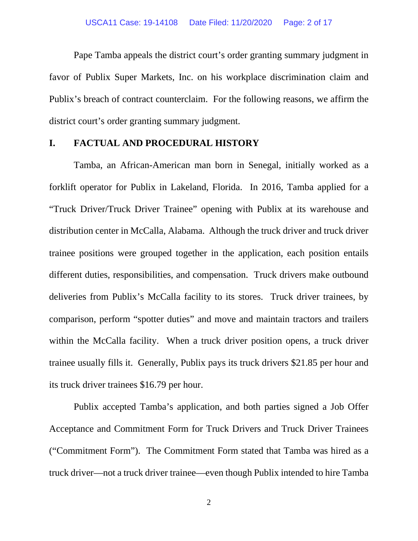Pape Tamba appeals the district court's order granting summary judgment in favor of Publix Super Markets, Inc. on his workplace discrimination claim and Publix's breach of contract counterclaim. For the following reasons, we affirm the district court's order granting summary judgment.

# **I. FACTUAL AND PROCEDURAL HISTORY**

Tamba, an African-American man born in Senegal, initially worked as a forklift operator for Publix in Lakeland, Florida. In 2016, Tamba applied for a "Truck Driver/Truck Driver Trainee" opening with Publix at its warehouse and distribution center in McCalla, Alabama. Although the truck driver and truck driver trainee positions were grouped together in the application, each position entails different duties, responsibilities, and compensation. Truck drivers make outbound deliveries from Publix's McCalla facility to its stores. Truck driver trainees, by comparison, perform "spotter duties" and move and maintain tractors and trailers within the McCalla facility. When a truck driver position opens, a truck driver trainee usually fills it. Generally, Publix pays its truck drivers \$21.85 per hour and its truck driver trainees \$16.79 per hour.

Publix accepted Tamba's application, and both parties signed a Job Offer Acceptance and Commitment Form for Truck Drivers and Truck Driver Trainees ("Commitment Form"). The Commitment Form stated that Tamba was hired as a truck driver—not a truck driver trainee—even though Publix intended to hire Tamba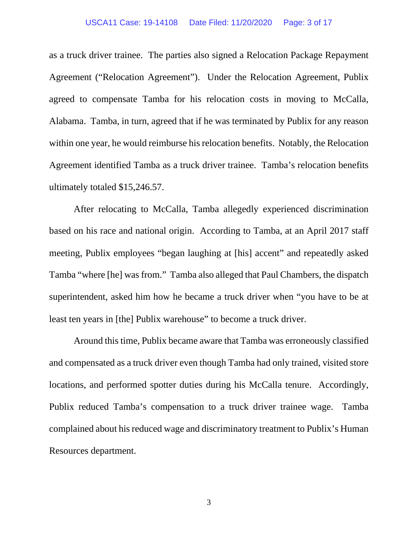#### USCA11 Case: 19-14108 Date Filed: 11/20/2020 Page: 3 of 17

as a truck driver trainee. The parties also signed a Relocation Package Repayment Agreement ("Relocation Agreement"). Under the Relocation Agreement, Publix agreed to compensate Tamba for his relocation costs in moving to McCalla, Alabama. Tamba, in turn, agreed that if he was terminated by Publix for any reason within one year, he would reimburse his relocation benefits. Notably, the Relocation Agreement identified Tamba as a truck driver trainee. Tamba's relocation benefits ultimately totaled \$15,246.57.

After relocating to McCalla, Tamba allegedly experienced discrimination based on his race and national origin. According to Tamba, at an April 2017 staff meeting, Publix employees "began laughing at [his] accent" and repeatedly asked Tamba "where [he] was from." Tamba also alleged that Paul Chambers, the dispatch superintendent, asked him how he became a truck driver when "you have to be at least ten years in [the] Publix warehouse" to become a truck driver.

Around this time, Publix became aware that Tamba was erroneously classified and compensated as a truck driver even though Tamba had only trained, visited store locations, and performed spotter duties during his McCalla tenure. Accordingly, Publix reduced Tamba's compensation to a truck driver trainee wage. Tamba complained about his reduced wage and discriminatory treatment to Publix's Human Resources department.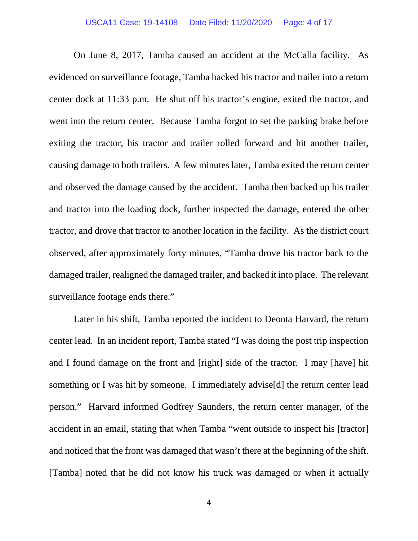On June 8, 2017, Tamba caused an accident at the McCalla facility. As evidenced on surveillance footage, Tamba backed his tractor and trailer into a return center dock at 11:33 p.m. He shut off his tractor's engine, exited the tractor, and went into the return center. Because Tamba forgot to set the parking brake before exiting the tractor, his tractor and trailer rolled forward and hit another trailer, causing damage to both trailers. A few minutes later, Tamba exited the return center and observed the damage caused by the accident. Tamba then backed up his trailer and tractor into the loading dock, further inspected the damage, entered the other tractor, and drove that tractor to another location in the facility. As the district court observed, after approximately forty minutes, "Tamba drove his tractor back to the damaged trailer, realigned the damaged trailer, and backed it into place. The relevant surveillance footage ends there."

Later in his shift, Tamba reported the incident to Deonta Harvard, the return center lead. In an incident report, Tamba stated "I was doing the post trip inspection and I found damage on the front and [right] side of the tractor. I may [have] hit something or I was hit by someone. I immediately advise[d] the return center lead person." Harvard informed Godfrey Saunders, the return center manager, of the accident in an email, stating that when Tamba "went outside to inspect his [tractor] and noticed that the front was damaged that wasn't there at the beginning of the shift. [Tamba] noted that he did not know his truck was damaged or when it actually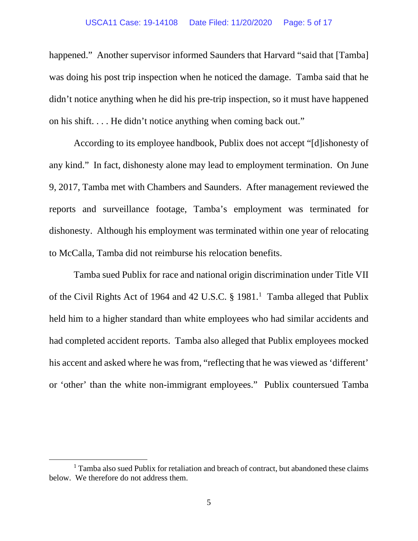### USCA11 Case: 19-14108 Date Filed: 11/20/2020 Page: 5 of 17

happened." Another supervisor informed Saunders that Harvard "said that [Tamba] was doing his post trip inspection when he noticed the damage. Tamba said that he didn't notice anything when he did his pre-trip inspection, so it must have happened on his shift. . . . He didn't notice anything when coming back out."

According to its employee handbook, Publix does not accept "[d]ishonesty of any kind." In fact, dishonesty alone may lead to employment termination. On June 9, 2017, Tamba met with Chambers and Saunders. After management reviewed the reports and surveillance footage, Tamba's employment was terminated for dishonesty. Although his employment was terminated within one year of relocating to McCalla, Tamba did not reimburse his relocation benefits.

Tamba sued Publix for race and national origin discrimination under Title VII of the Civil Rights Act of 1964 and 42 U.S.C. § 1981. [1](#page-4-0) Tamba alleged that Publix held him to a higher standard than white employees who had similar accidents and had completed accident reports. Tamba also alleged that Publix employees mocked his accent and asked where he was from, "reflecting that he was viewed as 'different' or 'other' than the white non-immigrant employees." Publix countersued Tamba

<span id="page-4-0"></span><sup>1</sup> Tamba also sued Publix for retaliation and breach of contract, but abandoned these claims below. We therefore do not address them.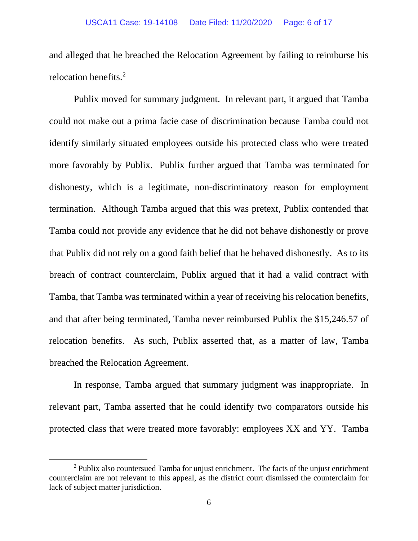and alleged that he breached the Relocation Agreement by failing to reimburse his relocation benefits.<sup>[2](#page-5-0)</sup>

Publix moved for summary judgment. In relevant part, it argued that Tamba could not make out a prima facie case of discrimination because Tamba could not identify similarly situated employees outside his protected class who were treated more favorably by Publix. Publix further argued that Tamba was terminated for dishonesty, which is a legitimate, non-discriminatory reason for employment termination. Although Tamba argued that this was pretext, Publix contended that Tamba could not provide any evidence that he did not behave dishonestly or prove that Publix did not rely on a good faith belief that he behaved dishonestly. As to its breach of contract counterclaim, Publix argued that it had a valid contract with Tamba, that Tamba was terminated within a year of receiving his relocation benefits, and that after being terminated, Tamba never reimbursed Publix the \$15,246.57 of relocation benefits. As such, Publix asserted that, as a matter of law, Tamba breached the Relocation Agreement.

In response, Tamba argued that summary judgment was inappropriate. In relevant part, Tamba asserted that he could identify two comparators outside his protected class that were treated more favorably: employees XX and YY. Tamba

<span id="page-5-0"></span> $2$  Publix also countersued Tamba for unjust enrichment. The facts of the unjust enrichment counterclaim are not relevant to this appeal, as the district court dismissed the counterclaim for lack of subject matter jurisdiction.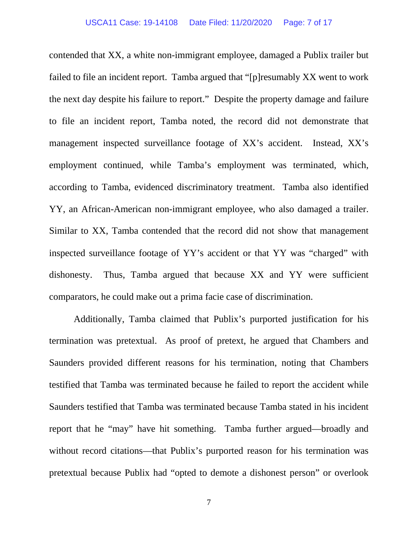contended that XX, a white non-immigrant employee, damaged a Publix trailer but failed to file an incident report. Tamba argued that "[p]resumably XX went to work the next day despite his failure to report." Despite the property damage and failure to file an incident report, Tamba noted, the record did not demonstrate that management inspected surveillance footage of XX's accident. Instead, XX's employment continued, while Tamba's employment was terminated, which, according to Tamba, evidenced discriminatory treatment. Tamba also identified YY, an African-American non-immigrant employee, who also damaged a trailer. Similar to XX, Tamba contended that the record did not show that management inspected surveillance footage of YY's accident or that YY was "charged" with dishonesty. Thus, Tamba argued that because XX and YY were sufficient comparators, he could make out a prima facie case of discrimination.

Additionally, Tamba claimed that Publix's purported justification for his termination was pretextual. As proof of pretext, he argued that Chambers and Saunders provided different reasons for his termination, noting that Chambers testified that Tamba was terminated because he failed to report the accident while Saunders testified that Tamba was terminated because Tamba stated in his incident report that he "may" have hit something. Tamba further argued—broadly and without record citations—that Publix's purported reason for his termination was pretextual because Publix had "opted to demote a dishonest person" or overlook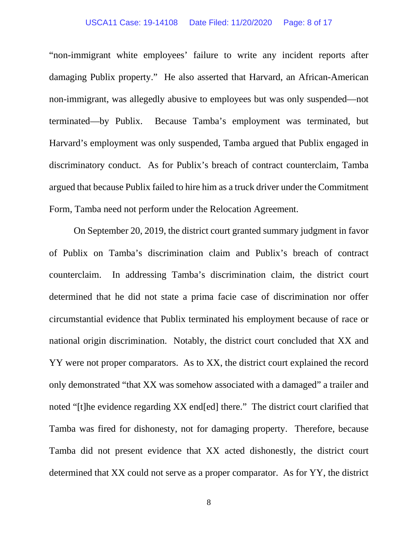### USCA11 Case: 19-14108 Date Filed: 11/20/2020 Page: 8 of 17

"non-immigrant white employees' failure to write any incident reports after damaging Publix property." He also asserted that Harvard, an African-American non-immigrant, was allegedly abusive to employees but was only suspended—not terminated—by Publix. Because Tamba's employment was terminated, but Harvard's employment was only suspended, Tamba argued that Publix engaged in discriminatory conduct. As for Publix's breach of contract counterclaim, Tamba argued that because Publix failed to hire him as a truck driver under the Commitment Form, Tamba need not perform under the Relocation Agreement.

On September 20, 2019, the district court granted summary judgment in favor of Publix on Tamba's discrimination claim and Publix's breach of contract counterclaim. In addressing Tamba's discrimination claim, the district court determined that he did not state a prima facie case of discrimination nor offer circumstantial evidence that Publix terminated his employment because of race or national origin discrimination. Notably, the district court concluded that XX and YY were not proper comparators. As to XX, the district court explained the record only demonstrated "that XX was somehow associated with a damaged" a trailer and noted "[t]he evidence regarding XX end[ed] there." The district court clarified that Tamba was fired for dishonesty, not for damaging property. Therefore, because Tamba did not present evidence that XX acted dishonestly, the district court determined that XX could not serve as a proper comparator. As for YY, the district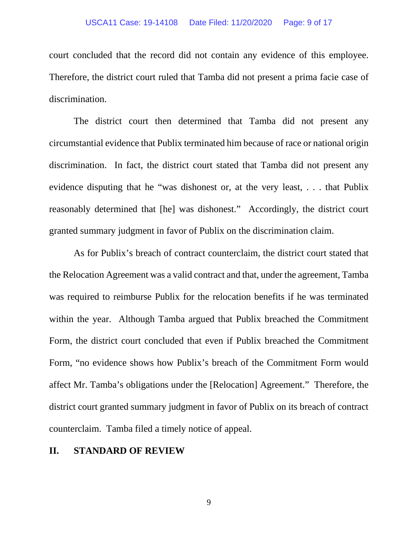### USCA11 Case: 19-14108 Date Filed: 11/20/2020 Page: 9 of 17

court concluded that the record did not contain any evidence of this employee. Therefore, the district court ruled that Tamba did not present a prima facie case of discrimination.

The district court then determined that Tamba did not present any circumstantial evidence that Publix terminated him because of race or national origin discrimination. In fact, the district court stated that Tamba did not present any evidence disputing that he "was dishonest or, at the very least, . . . that Publix reasonably determined that [he] was dishonest." Accordingly, the district court granted summary judgment in favor of Publix on the discrimination claim.

As for Publix's breach of contract counterclaim, the district court stated that the Relocation Agreement was a valid contract and that, under the agreement, Tamba was required to reimburse Publix for the relocation benefits if he was terminated within the year. Although Tamba argued that Publix breached the Commitment Form, the district court concluded that even if Publix breached the Commitment Form, "no evidence shows how Publix's breach of the Commitment Form would affect Mr. Tamba's obligations under the [Relocation] Agreement." Therefore, the district court granted summary judgment in favor of Publix on its breach of contract counterclaim. Tamba filed a timely notice of appeal.

## **II. STANDARD OF REVIEW**

9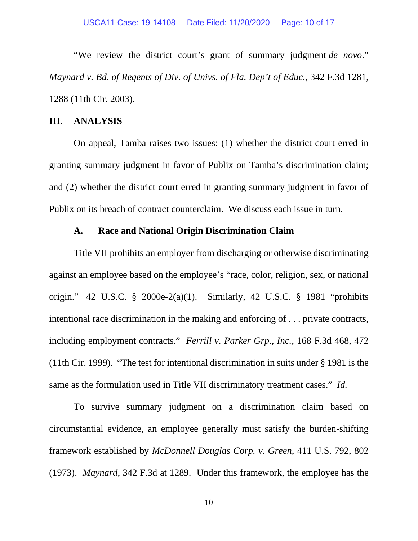"We review the district court's grant of summary judgment *de novo*." *Maynard v. Bd. of Regents of Div. of Univs. of Fla. Dep't of Educ.*, 342 F.3d 1281, 1288 (11th Cir. 2003).

### **III. ANALYSIS**

On appeal, Tamba raises two issues: (1) whether the district court erred in granting summary judgment in favor of Publix on Tamba's discrimination claim; and (2) whether the district court erred in granting summary judgment in favor of Publix on its breach of contract counterclaim. We discuss each issue in turn.

# **A. Race and National Origin Discrimination Claim**

Title VII prohibits an employer from discharging or otherwise discriminating against an employee based on the employee's "race, color, religion, sex, or national origin." 42 U.S.C. § 2000e-2(a)(1). Similarly, 42 U.S.C. § 1981 "prohibits intentional race discrimination in the making and enforcing of . . . private contracts, including employment contracts." *Ferrill v. Parker Grp., Inc.*, 168 F.3d 468, 472 (11th Cir. 1999). "The test for intentional discrimination in suits under § 1981 is the same as the formulation used in Title VII discriminatory treatment cases." *Id.*

To survive summary judgment on a discrimination claim based on circumstantial evidence, an employee generally must satisfy the burden-shifting framework established by *McDonnell Douglas Corp. v. Green*, 411 U.S. 792, 802 (1973). *Maynard*, 342 F.3d at 1289. Under this framework, the employee has the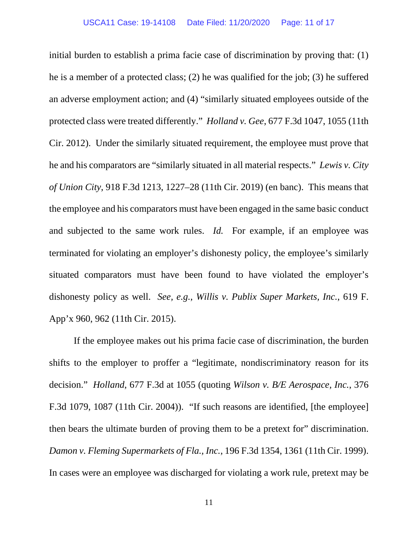initial burden to establish a prima facie case of discrimination by proving that: (1) he is a member of a protected class; (2) he was qualified for the job; (3) he suffered an adverse employment action; and (4) "similarly situated employees outside of the protected class were treated differently." *Holland v. Gee*, 677 F.3d 1047, 1055 (11th Cir. 2012). Under the similarly situated requirement, the employee must prove that he and his comparators are "similarly situated in all material respects." *Lewis v. City of Union City*, 918 F.3d 1213, 1227–28 (11th Cir. 2019) (en banc). This means that the employee and his comparators must have been engaged in the same basic conduct and subjected to the same work rules. *Id.* For example, if an employee was terminated for violating an employer's dishonesty policy, the employee's similarly situated comparators must have been found to have violated the employer's dishonesty policy as well. *See, e.g.*, *Willis v. Publix Super Markets, Inc.*, 619 F. App'x 960, 962 (11th Cir. 2015).

If the employee makes out his prima facie case of discrimination, the burden shifts to the employer to proffer a "legitimate, nondiscriminatory reason for its decision." *Holland*, 677 F.3d at 1055 (quoting *Wilson v. B/E Aerospace, Inc.*, 376 F.3d 1079, 1087 (11th Cir. 2004)). "If such reasons are identified, [the employee] then bears the ultimate burden of proving them to be a pretext for" discrimination. *Damon v. Fleming Supermarkets of Fla., Inc.*, 196 F.3d 1354, 1361 (11th Cir. 1999). In cases were an employee was discharged for violating a work rule, pretext may be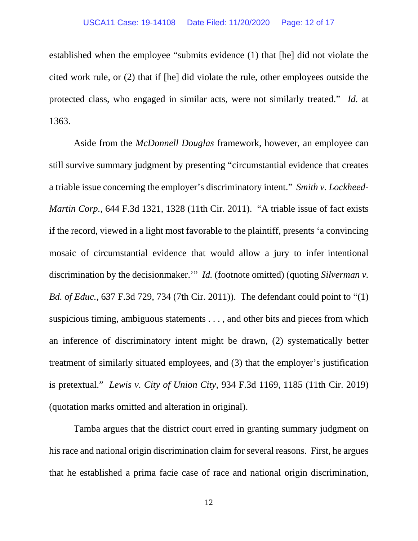established when the employee "submits evidence (1) that [he] did not violate the cited work rule, or (2) that if [he] did violate the rule, other employees outside the protected class, who engaged in similar acts, were not similarly treated." *Id.* at 1363.

Aside from the *McDonnell Douglas* framework, however, an employee can still survive summary judgment by presenting "circumstantial evidence that creates a triable issue concerning the employer's discriminatory intent." *Smith v. Lockheed-Martin Corp.*, 644 F.3d 1321, 1328 (11th Cir. 2011). "A triable issue of fact exists if the record, viewed in a light most favorable to the plaintiff, presents 'a convincing mosaic of circumstantial evidence that would allow a jury to infer intentional discrimination by the decisionmaker." *Id.* (footnote omitted) (quoting *Silverman v*. *Bd. of Educ.*, 637 F.3d 729, 734 (7th Cir. 2011)). The defendant could point to "(1) suspicious timing, ambiguous statements . . . , and other bits and pieces from which an inference of discriminatory intent might be drawn, (2) systematically better treatment of similarly situated employees, and (3) that the employer's justification is pretextual." *Lewis v. City of Union City*, 934 F.3d 1169, 1185 (11th Cir. 2019) (quotation marks omitted and alteration in original).

Tamba argues that the district court erred in granting summary judgment on his race and national origin discrimination claim for several reasons. First, he argues that he established a prima facie case of race and national origin discrimination,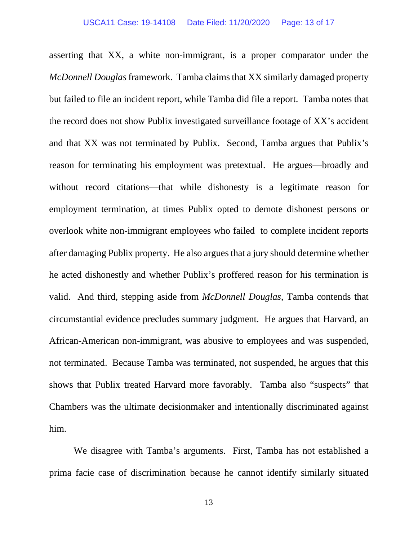asserting that XX, a white non-immigrant, is a proper comparator under the *McDonnell Douglas* framework. Tamba claims that XX similarly damaged property but failed to file an incident report, while Tamba did file a report. Tamba notes that the record does not show Publix investigated surveillance footage of XX's accident and that XX was not terminated by Publix. Second, Tamba argues that Publix's reason for terminating his employment was pretextual. He argues—broadly and without record citations—that while dishonesty is a legitimate reason for employment termination, at times Publix opted to demote dishonest persons or overlook white non-immigrant employees who failed to complete incident reports after damaging Publix property. He also argues that a jury should determine whether he acted dishonestly and whether Publix's proffered reason for his termination is valid. And third, stepping aside from *McDonnell Douglas*, Tamba contends that circumstantial evidence precludes summary judgment. He argues that Harvard, an African-American non-immigrant, was abusive to employees and was suspended, not terminated. Because Tamba was terminated, not suspended, he argues that this shows that Publix treated Harvard more favorably. Tamba also "suspects" that Chambers was the ultimate decisionmaker and intentionally discriminated against him.

We disagree with Tamba's arguments. First, Tamba has not established a prima facie case of discrimination because he cannot identify similarly situated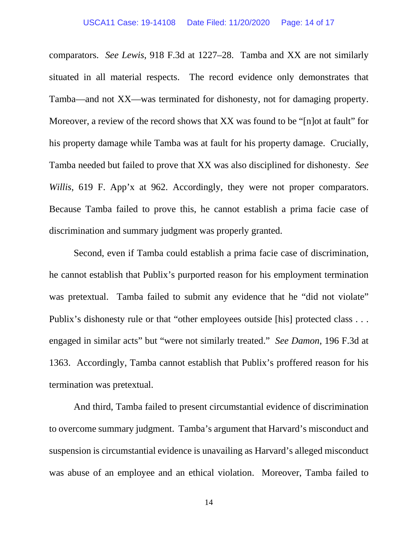comparators. *See Lewis*, 918 F.3d at 1227–28. Tamba and XX are not similarly situated in all material respects. The record evidence only demonstrates that Tamba—and not XX—was terminated for dishonesty, not for damaging property. Moreover, a review of the record shows that XX was found to be "[n]ot at fault" for his property damage while Tamba was at fault for his property damage. Crucially, Tamba needed but failed to prove that XX was also disciplined for dishonesty. *See Willis*, 619 F. App'x at 962. Accordingly, they were not proper comparators. Because Tamba failed to prove this, he cannot establish a prima facie case of discrimination and summary judgment was properly granted.

Second, even if Tamba could establish a prima facie case of discrimination, he cannot establish that Publix's purported reason for his employment termination was pretextual. Tamba failed to submit any evidence that he "did not violate" Publix's dishonesty rule or that "other employees outside [his] protected class ... engaged in similar acts" but "were not similarly treated." *See Damon*, 196 F.3d at 1363. Accordingly, Tamba cannot establish that Publix's proffered reason for his termination was pretextual.

And third, Tamba failed to present circumstantial evidence of discrimination to overcome summary judgment. Tamba's argument that Harvard's misconduct and suspension is circumstantial evidence is unavailing as Harvard's alleged misconduct was abuse of an employee and an ethical violation. Moreover, Tamba failed to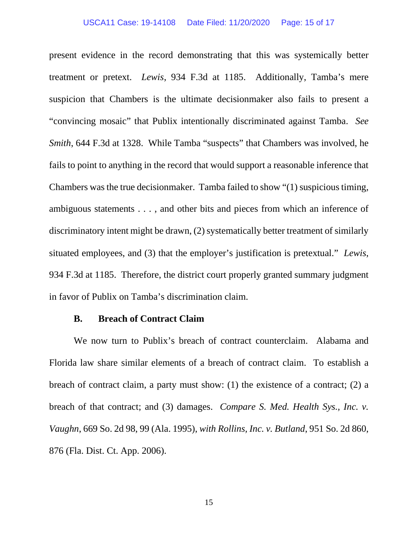### USCA11 Case: 19-14108 Date Filed: 11/20/2020 Page: 15 of 17

present evidence in the record demonstrating that this was systemically better treatment or pretext. *Lewis*, 934 F.3d at 1185. Additionally, Tamba's mere suspicion that Chambers is the ultimate decisionmaker also fails to present a "convincing mosaic" that Publix intentionally discriminated against Tamba. *See Smith*, 644 F.3d at 1328. While Tamba "suspects" that Chambers was involved, he fails to point to anything in the record that would support a reasonable inference that Chambers was the true decisionmaker. Tamba failed to show "(1) suspicious timing, ambiguous statements . . . , and other bits and pieces from which an inference of discriminatory intent might be drawn, (2) systematically better treatment of similarly situated employees, and (3) that the employer's justification is pretextual." *Lewis*, 934 F.3d at 1185. Therefore, the district court properly granted summary judgment in favor of Publix on Tamba's discrimination claim.

# **B. Breach of Contract Claim**

We now turn to Publix's breach of contract counterclaim. Alabama and Florida law share similar elements of a breach of contract claim. To establish a breach of contract claim, a party must show: (1) the existence of a contract; (2) a breach of that contract; and (3) damages. *Compare S. Med. Health Sys., Inc. v. Vaughn*, 669 So. 2d 98, 99 (Ala. 1995), *with Rollins, Inc. v. Butland*, 951 So. 2d 860, 876 (Fla. Dist. Ct. App. 2006).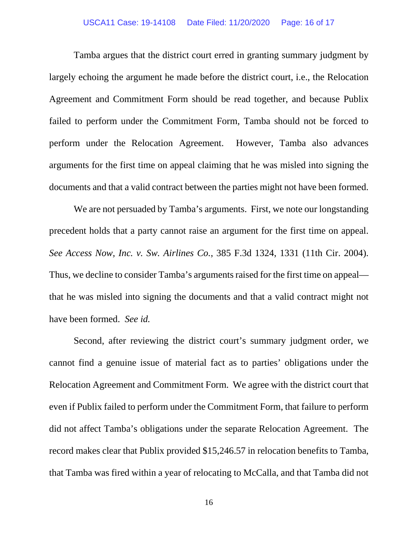### USCA11 Case: 19-14108 Date Filed: 11/20/2020 Page: 16 of 17

Tamba argues that the district court erred in granting summary judgment by largely echoing the argument he made before the district court, i.e., the Relocation Agreement and Commitment Form should be read together, and because Publix failed to perform under the Commitment Form, Tamba should not be forced to perform under the Relocation Agreement. However, Tamba also advances arguments for the first time on appeal claiming that he was misled into signing the documents and that a valid contract between the parties might not have been formed.

We are not persuaded by Tamba's arguments. First, we note our longstanding precedent holds that a party cannot raise an argument for the first time on appeal. *See Access Now, Inc. v. Sw. Airlines Co.*, 385 F.3d 1324, 1331 (11th Cir. 2004). Thus, we decline to consider Tamba's arguments raised for the first time on appeal that he was misled into signing the documents and that a valid contract might not have been formed. *See id.* 

Second, after reviewing the district court's summary judgment order, we cannot find a genuine issue of material fact as to parties' obligations under the Relocation Agreement and Commitment Form. We agree with the district court that even if Publix failed to perform under the Commitment Form, that failure to perform did not affect Tamba's obligations under the separate Relocation Agreement. The record makes clear that Publix provided \$15,246.57 in relocation benefits to Tamba, that Tamba was fired within a year of relocating to McCalla, and that Tamba did not